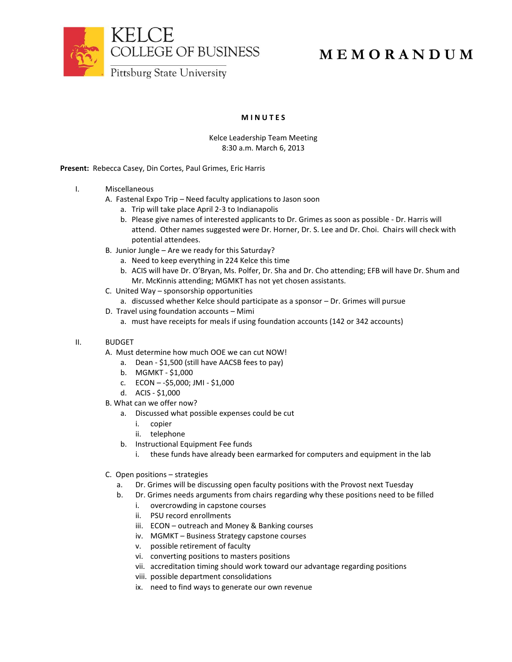

# **M E M O R A N D U M**

## **M I N U T E S**

## Kelce Leadership Team Meeting 8:30 a.m. March 6, 2013

## **Present:** Rebecca Casey, Din Cortes, Paul Grimes, Eric Harris

- I. Miscellaneous
	- A. Fastenal Expo Trip Need faculty applications to Jason soon
		- a. Trip will take place April 2-3 to Indianapolis
		- b. Please give names of interested applicants to Dr. Grimes as soon as possible Dr. Harris will attend. Other names suggested were Dr. Horner, Dr. S. Lee and Dr. Choi. Chairs will check with potential attendees.
	- B. Junior Jungle Are we ready for this Saturday?
		- a. Need to keep everything in 224 Kelce this time
		- b. ACIS will have Dr. O'Bryan, Ms. Polfer, Dr. Sha and Dr. Cho attending; EFB will have Dr. Shum and Mr. McKinnis attending; MGMKT has not yet chosen assistants.
	- C. United Way sponsorship opportunities
		- a. discussed whether Kelce should participate as a sponsor Dr. Grimes will pursue
	- D. Travel using foundation accounts Mimi
		- a. must have receipts for meals if using foundation accounts (142 or 342 accounts)

### II. BUDGET

- A. Must determine how much OOE we can cut NOW!
	- a. Dean \$1,500 (still have AACSB fees to pay)
	- b. MGMKT \$1,000
	- c. ECON -\$5,000; JMI \$1,000
	- d. ACIS \$1,000
- B. What can we offer now?
	- a. Discussed what possible expenses could be cut
		- i. copier
		- ii. telephone
	- b. Instructional Equipment Fee funds
		- i. these funds have already been earmarked for computers and equipment in the lab
- C. Open positions strategies
	- a. Dr. Grimes will be discussing open faculty positions with the Provost next Tuesday
	- b. Dr. Grimes needs arguments from chairs regarding why these positions need to be filled
		- i. overcrowding in capstone courses
		- ii. PSU record enrollments
		- iii. ECON outreach and Money & Banking courses
		- iv. MGMKT Business Strategy capstone courses
		- v. possible retirement of faculty
		- vi. converting positions to masters positions
		- vii. accreditation timing should work toward our advantage regarding positions
		- viii. possible department consolidations
		- ix. need to find ways to generate our own revenue